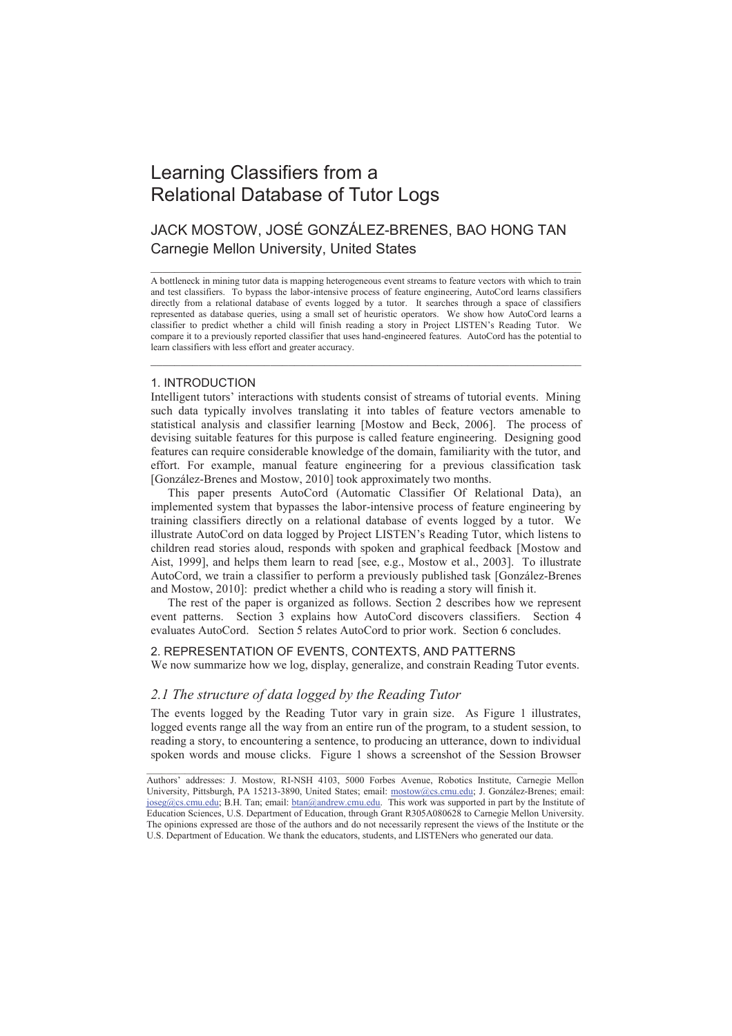# Learning Classifiers from a Relational Database of Tutor Logs

## JACK MOSTOW, JOSÉ GONZÁLEZ-BRENES, BAO HONG TAN Carnegie Mellon University, United States

A bottleneck in mining tutor data is mapping heterogeneous event streams to feature vectors with which to train and test classifiers. To bypass the labor-intensive process of feature engineering, AutoCord learns classifiers directly from a relational database of events logged by a tutor. It searches through a space of classifiers represented as database queries, using a small set of heuristic operators. We show how AutoCord learns a classifier to predict whether a child will finish reading a story in Project LISTEN's Reading Tutor. We compare it to a previously reported classifier that uses hand-engineered features. AutoCord has the potential to learn classifiers with less effort and greater accuracy.

\_\_\_\_\_\_\_\_\_\_\_\_\_\_\_\_\_\_\_\_\_\_\_\_\_\_\_\_\_\_\_\_\_\_\_\_\_\_\_\_\_\_\_\_\_\_\_\_\_\_\_\_\_\_\_\_\_\_\_\_\_\_\_\_\_\_\_\_\_\_\_\_

\_\_\_\_\_\_\_\_\_\_\_\_\_\_\_\_\_\_\_\_\_\_\_\_\_\_\_\_\_\_\_\_\_\_\_\_\_\_\_\_\_\_\_\_\_\_\_\_\_\_\_\_\_\_\_\_\_\_\_\_\_\_\_\_\_\_\_\_\_\_\_\_

#### 1. INTRODUCTION

Intelligent tutors' interactions with students consist of streams of tutorial events. Mining such data typically involves translating it into tables of feature vectors amenable to statistical analysis and classifier learning [Mostow and Beck, 2006]. The process of devising suitable features for this purpose is called feature engineering. Designing good features can require considerable knowledge of the domain, familiarity with the tutor, and effort. For example, manual feature engineering for a previous classification task [González-Brenes and Mostow, 2010] took approximately two months.

This paper presents AutoCord (Automatic Classifier Of Relational Data), an implemented system that bypasses the labor-intensive process of feature engineering by training classifiers directly on a relational database of events logged by a tutor. We illustrate AutoCord on data logged by Project LISTEN's Reading Tutor, which listens to children read stories aloud, responds with spoken and graphical feedback [Mostow and Aist, 1999], and helps them learn to read [see, e.g., Mostow et al., 2003]. To illustrate AutoCord, we train a classifier to perform a previously published task [González-Brenes and Mostow, 2010]: predict whether a child who is reading a story will finish it.

The rest of the paper is organized as follows. Section 2 describes how we represent event patterns. Section 3 explains how AutoCord discovers classifiers. Section 4 evaluates AutoCord. Section 5 relates AutoCord to prior work. Section 6 concludes.

### 2. REPRESENTATION OF EVENTS, CONTEXTS, AND PATTERNS

We now summarize how we log, display, generalize, and constrain Reading Tutor events.

### *2.1 The structure of data logged by the Reading Tutor*

The events logged by the Reading Tutor vary in grain size. As Figure 1 illustrates, logged events range all the way from an entire run of the program, to a student session, to reading a story, to encountering a sentence, to producing an utterance, down to individual spoken words and mouse clicks. Figure 1 shows a screenshot of the Session Browser

 $\mathcal{L}_\mathcal{L} = \{ \mathcal{L}_\mathcal{L} = \{ \mathcal{L}_\mathcal{L} = \{ \mathcal{L}_\mathcal{L} = \{ \mathcal{L}_\mathcal{L} = \{ \mathcal{L}_\mathcal{L} = \{ \mathcal{L}_\mathcal{L} = \{ \mathcal{L}_\mathcal{L} = \{ \mathcal{L}_\mathcal{L} = \{ \mathcal{L}_\mathcal{L} = \{ \mathcal{L}_\mathcal{L} = \{ \mathcal{L}_\mathcal{L} = \{ \mathcal{L}_\mathcal{L} = \{ \mathcal{L}_\mathcal{L} = \{ \mathcal{L}_\mathcal{$ 

Authors' addresses: J. Mostow, RI-NSH 4103, 5000 Forbes Avenue, Robotics Institute, Carnegie Mellon University, Pittsburgh, PA 15213-3890, United States; email: mostow@cs.cmu.edu; J. González-Brenes; email: joseg@cs.cmu.edu; B.H. Tan; email: btan@andrew.cmu.edu. This work was supported in part by the Institute of Education Sciences, U.S. Department of Education, through Grant R305A080628 to Carnegie Mellon University. The opinions expressed are those of the authors and do not necessarily represent the views of the Institute or the U.S. Department of Education. We thank the educators, students, and LISTENers who generated our data.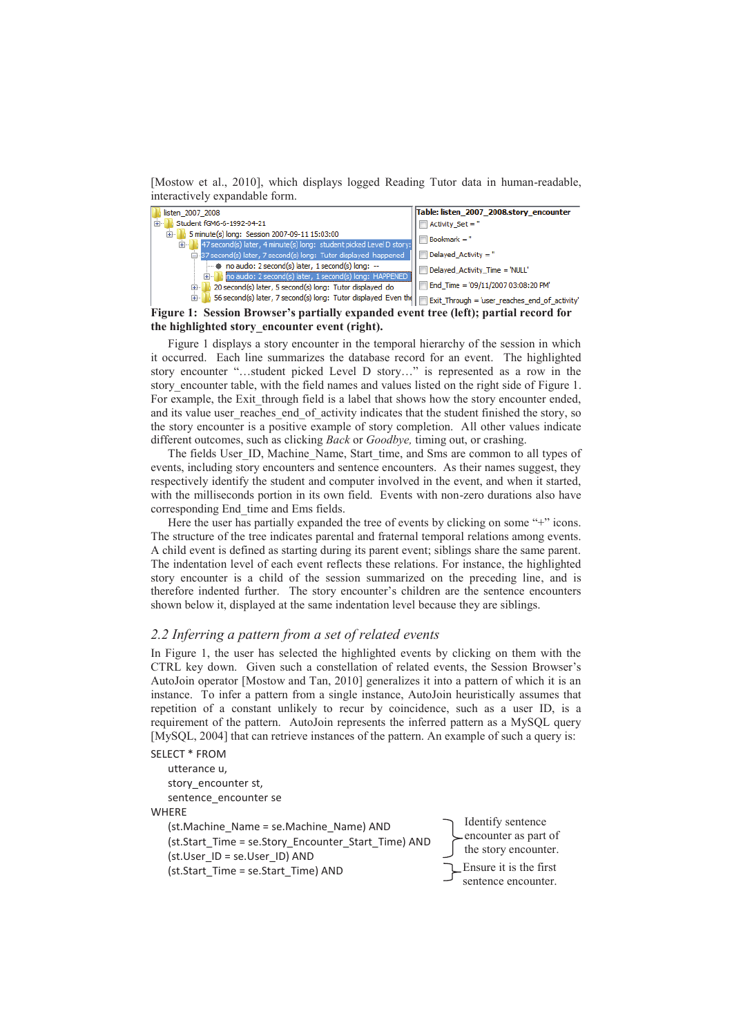[Mostow et al., 2010], which displays logged Reading Tutor data in human-readable, interactively expandable form.



**Figure 1: Session Browser's partially expanded event tree (left); partial record for the highlighted story\_encounter event (right).** 

Figure 1 displays a story encounter in the temporal hierarchy of the session in which it occurred. Each line summarizes the database record for an event. The highlighted story encounter "…student picked Level D story…" is represented as a row in the story encounter table, with the field names and values listed on the right side of Figure 1. For example, the Exit through field is a label that shows how the story encounter ended, and its value user reaches end of activity indicates that the student finished the story, so the story encounter is a positive example of story completion. All other values indicate different outcomes, such as clicking *Back* or *Goodbye,* timing out, or crashing.

The fields User\_ID, Machine\_Name, Start\_time, and Sms are common to all types of events, including story encounters and sentence encounters. As their names suggest, they respectively identify the student and computer involved in the event, and when it started, with the milliseconds portion in its own field. Events with non-zero durations also have corresponding End\_time and Ems fields.

Here the user has partially expanded the tree of events by clicking on some "+" icons. The structure of the tree indicates parental and fraternal temporal relations among events. A child event is defined as starting during its parent event; siblings share the same parent. The indentation level of each event reflects these relations. For instance, the highlighted story encounter is a child of the session summarized on the preceding line, and is therefore indented further. The story encounter's children are the sentence encounters shown below it, displayed at the same indentation level because they are siblings.

#### *2.2 Inferring a pattern from a set of related events*

In Figure 1, the user has selected the highlighted events by clicking on them with the CTRL key down. Given such a constellation of related events, the Session Browser's AutoJoin operator [Mostow and Tan, 2010] generalizes it into a pattern of which it is an instance. To infer a pattern from a single instance, AutoJoin heuristically assumes that repetition of a constant unlikely to recur by coincidence, such as a user ID, is a requirement of the pattern. AutoJoin represents the inferred pattern as a MySQL query [MySQL, 2004] that can retrieve instances of the pattern. An example of such a query is:

SELECT \* FROM utterance u, story\_encounter st, sentence encounter se **WHFRF** (st.Machine\_Name = se.Machine\_Name) AND (st.Start\_Time = se.Story\_Encounter\_Start\_Time) AND (st.User\_ID = se.User\_ID) AND (st.Start\_Time = se.Start\_Time) AND Identify sentence encounter as part of the story encounter. Ensure it is the first sentence encounter.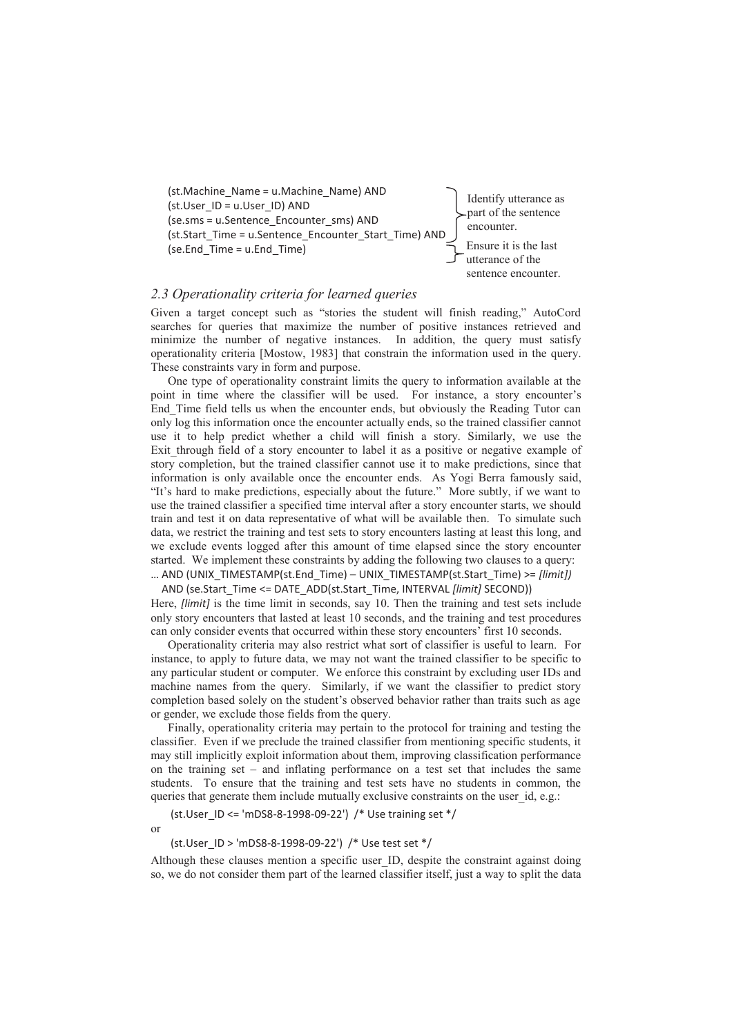

### *2.3 Operationality criteria for learned queries*

Given a target concept such as "stories the student will finish reading," AutoCord searches for queries that maximize the number of positive instances retrieved and minimize the number of negative instances. In addition, the query must satisfy operationality criteria [Mostow, 1983] that constrain the information used in the query. These constraints vary in form and purpose.

One type of operationality constraint limits the query to information available at the point in time where the classifier will be used. For instance, a story encounter's End\_Time field tells us when the encounter ends, but obviously the Reading Tutor can only log this information once the encounter actually ends, so the trained classifier cannot use it to help predict whether a child will finish a story. Similarly, we use the Exit\_through field of a story encounter to label it as a positive or negative example of story completion, but the trained classifier cannot use it to make predictions, since that information is only available once the encounter ends. As Yogi Berra famously said, "It's hard to make predictions, especially about the future." More subtly, if we want to use the trained classifier a specified time interval after a story encounter starts, we should train and test it on data representative of what will be available then. To simulate such data, we restrict the training and test sets to story encounters lasting at least this long, and we exclude events logged after this amount of time elapsed since the story encounter started. We implement these constraints by adding the following two clauses to a query: … AND (UNIX\_TIMESTAMP(st.End\_Time) – UNIX\_TIMESTAMP(st.Start\_Time) >= *[limit])* 

AND (se.Start\_Time <= DATE\_ADD(st.Start\_Time, INTERVAL *[limit]* SECOND)) Here, *[limit]* is the time limit in seconds, say 10. Then the training and test sets include only story encounters that lasted at least 10 seconds, and the training and test procedures can only consider events that occurred within these story encounters' first 10 seconds.

Operationality criteria may also restrict what sort of classifier is useful to learn. For instance, to apply to future data, we may not want the trained classifier to be specific to any particular student or computer. We enforce this constraint by excluding user IDs and machine names from the query. Similarly, if we want the classifier to predict story completion based solely on the student's observed behavior rather than traits such as age or gender, we exclude those fields from the query.

Finally, operationality criteria may pertain to the protocol for training and testing the classifier. Even if we preclude the trained classifier from mentioning specific students, it may still implicitly exploit information about them, improving classification performance on the training set – and inflating performance on a test set that includes the same students. To ensure that the training and test sets have no students in common, the queries that generate them include mutually exclusive constraints on the user id, e.g.:

 (st.User\_ID <= 'mDS8-8-1998-09-22') /\* Use training set \*/ or

(st.User\_ID > 'mDS8-8-1998-09-22') /\* Use test set \*/

Although these clauses mention a specific user\_ID, despite the constraint against doing so, we do not consider them part of the learned classifier itself, just a way to split the data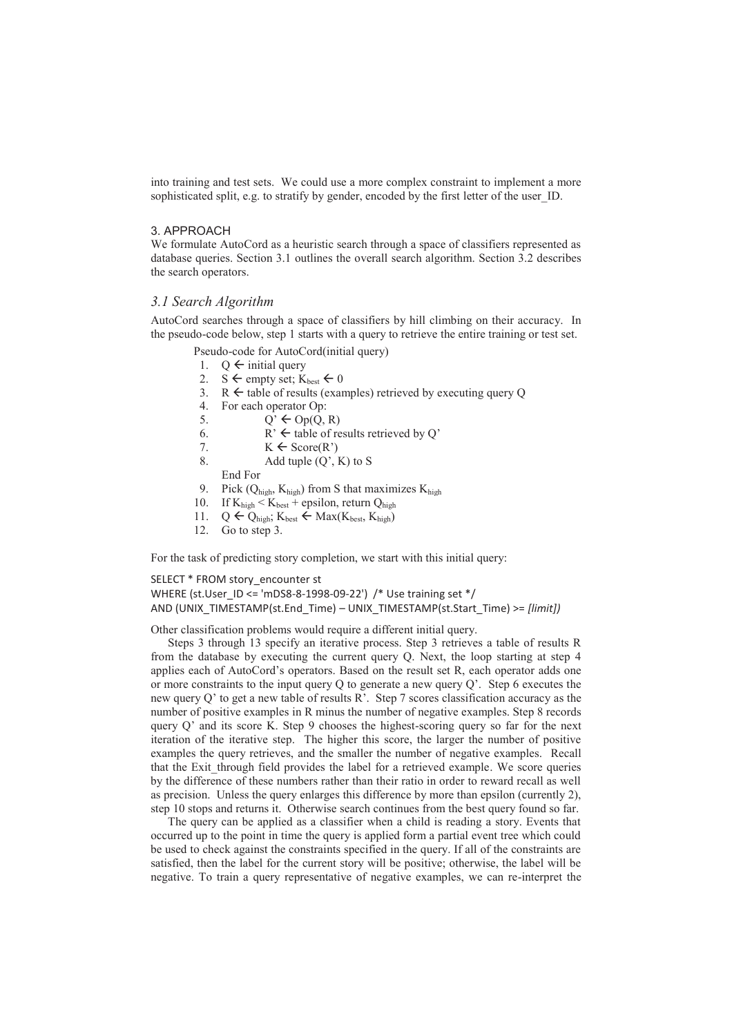into training and test sets. We could use a more complex constraint to implement a more sophisticated split, e.g. to stratify by gender, encoded by the first letter of the user ID.

#### 3. APPROACH

We formulate AutoCord as a heuristic search through a space of classifiers represented as database queries. Section 3.1 outlines the overall search algorithm. Section 3.2 describes the search operators.

### *3.1 Search Algorithm*

AutoCord searches through a space of classifiers by hill climbing on their accuracy. In the pseudo-code below, step 1 starts with a query to retrieve the entire training or test set.

Pseudo-code for AutoCord(initial query)

- 1.  $Q \leftarrow$  initial query
- 2. S  $\leftarrow$  empty set;  $K_{best} \leftarrow 0$
- 3.  $R \leftarrow$  table of results (examples) retrieved by executing query Q
- 4. For each operator Op:
- 5.  $Q' \leftarrow \text{Op}(Q, R)$
- 6.  $R' \leftarrow$  table of results retrieved by Q'
- 7.  $K \leftarrow \text{Score}(R')$
- 8. Add tuple  $(Q', K)$  to S

End For

- 9. Pick  $(Q_{high}, K_{high})$  from S that maximizes  $K_{high}$ <br>10. If  $K_{high} < K_{best}$  + epsilon, return  $Q_{high}$
- If  $K_{high} < K_{best}$  + epsilon, return  $Q_{high}$
- 11.  $Q \leftarrow Q_{\text{high}}$ ;  $K_{\text{best}} \leftarrow \text{Max}(K_{\text{best}}, K_{\text{high}})$ <br>12. Go to step 3.
- Go to step 3.

For the task of predicting story completion, we start with this initial query:

### SELECT \* FROM story\_encounter st WHERE (st.User\_ID <= 'mDS8-8-1998-09-22') /\* Use training set \*/ AND (UNIX\_TIMESTAMP(st.End\_Time) – UNIX\_TIMESTAMP(st.Start\_Time) >= *[limit])*

Other classification problems would require a different initial query.

Steps 3 through 13 specify an iterative process. Step 3 retrieves a table of results R from the database by executing the current query Q. Next, the loop starting at step 4 applies each of AutoCord's operators. Based on the result set R, each operator adds one or more constraints to the input query Q to generate a new query  $Q'$ . Step 6 executes the new query Q' to get a new table of results R'. Step 7 scores classification accuracy as the number of positive examples in R minus the number of negative examples. Step 8 records query  $Q'$  and its score K. Step 9 chooses the highest-scoring query so far for the next iteration of the iterative step. The higher this score, the larger the number of positive examples the query retrieves, and the smaller the number of negative examples. Recall that the Exit through field provides the label for a retrieved example. We score queries by the difference of these numbers rather than their ratio in order to reward recall as well as precision. Unless the query enlarges this difference by more than epsilon (currently 2), step 10 stops and returns it. Otherwise search continues from the best query found so far.

The query can be applied as a classifier when a child is reading a story. Events that occurred up to the point in time the query is applied form a partial event tree which could be used to check against the constraints specified in the query. If all of the constraints are satisfied, then the label for the current story will be positive; otherwise, the label will be negative. To train a query representative of negative examples, we can re-interpret the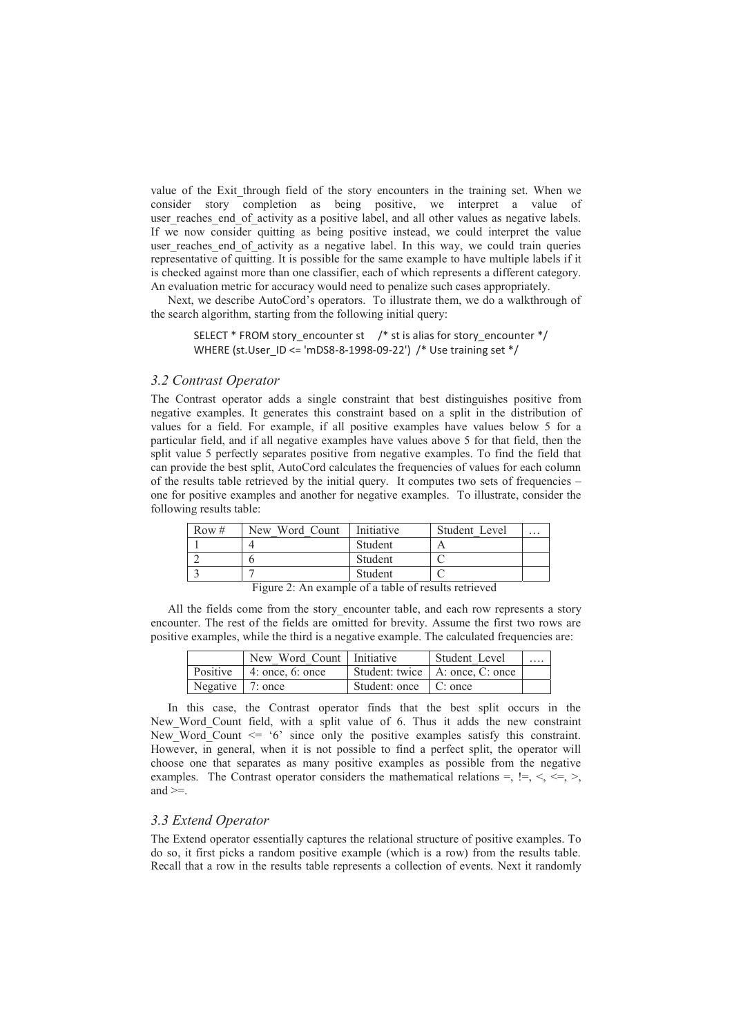value of the Exit through field of the story encounters in the training set. When we consider story completion as being positive, we interpret a value of user\_reaches\_end\_of\_activity as a positive label, and all other values as negative labels. If we now consider quitting as being positive instead, we could interpret the value user reaches end of activity as a negative label. In this way, we could train queries representative of quitting. It is possible for the same example to have multiple labels if it is checked against more than one classifier, each of which represents a different category. An evaluation metric for accuracy would need to penalize such cases appropriately.

Next, we describe AutoCord's operators. To illustrate them, we do a walkthrough of the search algorithm, starting from the following initial query:

SELECT \* FROM story encounter st  $/$  \* st is alias for story encounter  $*/$ WHERE (st.User\_ID <= 'mDS8-8-1998-09-22') /\* Use training set \*/

### *3.2 Contrast Operator*

The Contrast operator adds a single constraint that best distinguishes positive from negative examples. It generates this constraint based on a split in the distribution of values for a field. For example, if all positive examples have values below 5 for a particular field, and if all negative examples have values above 5 for that field, then the split value 5 perfectly separates positive from negative examples. To find the field that can provide the best split, AutoCord calculates the frequencies of values for each column of the results table retrieved by the initial query. It computes two sets of frequencies – one for positive examples and another for negative examples. To illustrate, consider the following results table:

| Row $#$ | New Word Count | Initiative | Student Level | $\ddotsc$ |
|---------|----------------|------------|---------------|-----------|
|         |                | Student    |               |           |
|         |                | Student    |               |           |
|         |                | Student    |               |           |

Figure 2: An example of a table of results retrieved

All the fields come from the story encounter table, and each row represents a story encounter. The rest of the fields are omitted for brevity. Assume the first two rows are positive examples, while the third is a negative example. The calculated frequencies are:

|                          | New Word Count   Initiative       |                         | Student Level                     | . |
|--------------------------|-----------------------------------|-------------------------|-----------------------------------|---|
|                          | Positive $\vert$ 4: once, 6: once |                         | Student: twice   A: once, C: once |   |
| Negative $\vert$ 7: once |                                   | Student: once   C: once |                                   |   |

In this case, the Contrast operator finds that the best split occurs in the New Word Count field, with a split value of 6. Thus it adds the new constraint New Word Count  $\leq$  '6' since only the positive examples satisfy this constraint. However, in general, when it is not possible to find a perfect split, the operator will choose one that separates as many positive examples as possible from the negative examples. The Contrast operator considers the mathematical relations =,  $!=, \leq, \leq, \leq, \leq)$ and  $>=$ 

### *3.3 Extend Operator*

The Extend operator essentially captures the relational structure of positive examples. To do so, it first picks a random positive example (which is a row) from the results table. Recall that a row in the results table represents a collection of events. Next it randomly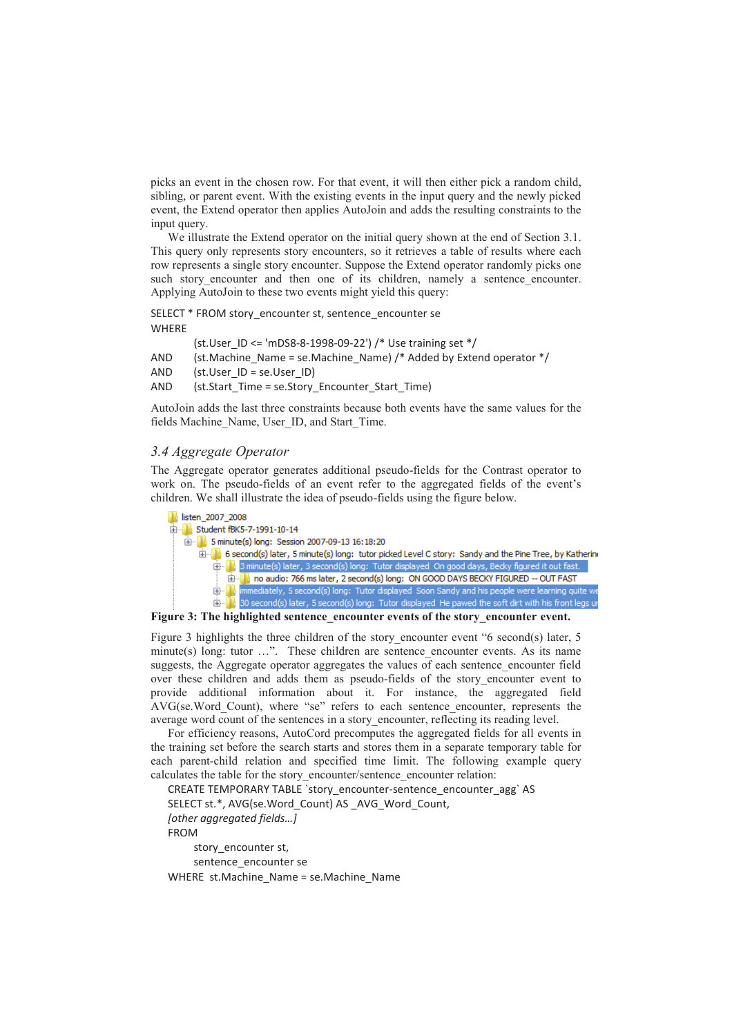picks an event in the chosen row. For that event, it will then either pick a random child, sibling, or parent event. With the existing events in the input query and the newly picked event, the Extend operator then applies AutoJoin and adds the resulting constraints to the input query.

We illustrate the Extend operator on the initial query shown at the end of Section 3.1. This query only represents story encounters, so it retrieves a table of results where each row represents a single story encounter. Suppose the Extend operator randomly picks one such story encounter and then one of its children, namely a sentence encounter. Applying AutoJoin to these two events might yield this query:

SELECT \* FROM story\_encounter st, sentence\_encounter se **WHERE** 

(st.User\_ID <= 'mDS8-8-1998-09-22') /\* Use training set \*/

AND (st.Machine Name = se.Machine Name) /\* Added by Extend operator \*/

AND (st.User\_ID = se.User\_ID)

AND (st.Start\_Time = se.Story\_Encounter\_Start\_Time)

AutoJoin adds the last three constraints because both events have the same values for the fields Machine Name, User ID, and Start Time.

### *3.4 Aggregate Operator*

The Aggregate operator generates additional pseudo-fields for the Contrast operator to work on. The pseudo-fields of an event refer to the aggregated fields of the event's children. We shall illustrate the idea of pseudo-fields using the figure below.



Figure 3: The highlighted sentence encounter events of the story encounter event.

Figure 3 highlights the three children of the story encounter event "6 second(s) later, 5 minute(s) long: tutor  $\dots$ ". These children are sentence encounter events. As its name suggests, the Aggregate operator aggregates the values of each sentence\_encounter field over these children and adds them as pseudo-fields of the story\_encounter event to provide additional information about it. For instance, the aggregated field AVG(se.Word\_Count), where "se" refers to each sentence\_encounter, represents the average word count of the sentences in a story\_encounter, reflecting its reading level.

For efficiency reasons, AutoCord precomputes the aggregated fields for all events in the training set before the search starts and stores them in a separate temporary table for each parent-child relation and specified time limit. The following example query calculates the table for the story\_encounter/sentence\_encounter relation:

CREATE TEMPORARY TABLE `story\_encounter-sentence\_encounter\_agg` AS SELECT st.\*, AVG(se.Word\_Count) AS\_AVG\_Word\_Count, *[other aggregated fields…]* FROM story encounter st, sentence encounter se

WHERE st.Machine Name = se.Machine Name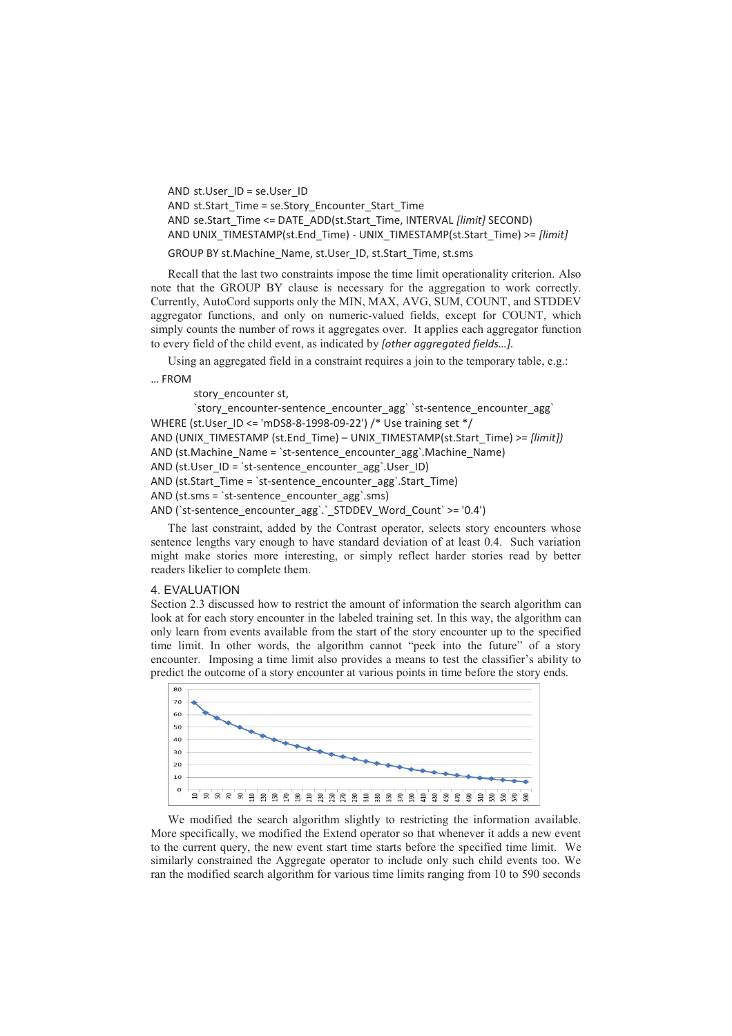```
AND st.User_ID = se.User_ID 
AND st.Start_Time = se.Story_Encounter_Start_Time
AND se.Start_Time <= DATE_ADD(st.Start_Time, INTERVAL [limit] SECOND) 
AND UNIX_TIMESTAMP(st.End_Time) - UNIX_TIMESTAMP(st.Start_Time) >= [limit]
GROUP BY st.Machine_Name, st.User_ID, st.Start_Time, st.sms
```
Recall that the last two constraints impose the time limit operationality criterion. Also note that the GROUP BY clause is necessary for the aggregation to work correctly. Currently, AutoCord supports only the MIN, MAX, AVG, SUM, COUNT, and STDDEV aggregator functions, and only on numeric-valued fields, except for COUNT, which simply counts the number of rows it aggregates over. It applies each aggregator function to every field of the child event, as indicated by *[other aggregated fields…].* 

Using an aggregated field in a constraint requires a join to the temporary table, e.g.:

… FROM

story\_encounter st,

`story\_encounter-sentence\_encounter\_agg` `st-sentence\_encounter\_agg` WHERE (st.User\_ID <= 'mDS8-8-1998-09-22') /\* Use training set \*/ AND (UNIX\_TIMESTAMP (st.End\_Time) – UNIX\_TIMESTAMP(st.Start\_Time) >= *[limit])* AND (st.Machine\_Name = `st-sentence\_encounter\_agg`.Machine\_Name) AND (st.User  $ID = 'st-sentence$  encounter agg`.User ID) AND (st.Start\_Time = `st-sentence\_encounter\_agg`.Start\_Time) AND (st.sms = `st-sentence\_encounter\_agg`.sms) AND (`st-sentence\_encounter\_agg`.`\_STDDEV\_Word\_Count` >= '0.4')

The last constraint, added by the Contrast operator, selects story encounters whose sentence lengths vary enough to have standard deviation of at least 0.4. Such variation might make stories more interesting, or simply reflect harder stories read by better readers likelier to complete them.

#### 4. EVALUATION

Section 2.3 discussed how to restrict the amount of information the search algorithm can look at for each story encounter in the labeled training set. In this way, the algorithm can only learn from events available from the start of the story encounter up to the specified time limit. In other words, the algorithm cannot "peek into the future" of a story encounter. Imposing a time limit also provides a means to test the classifier's ability to predict the outcome of a story encounter at various points in time before the story ends.



We modified the search algorithm slightly to restricting the information available. More specifically, we modified the Extend operator so that whenever it adds a new event to the current query, the new event start time starts before the specified time limit. We similarly constrained the Aggregate operator to include only such child events too. We ran the modified search algorithm for various time limits ranging from 10 to 590 seconds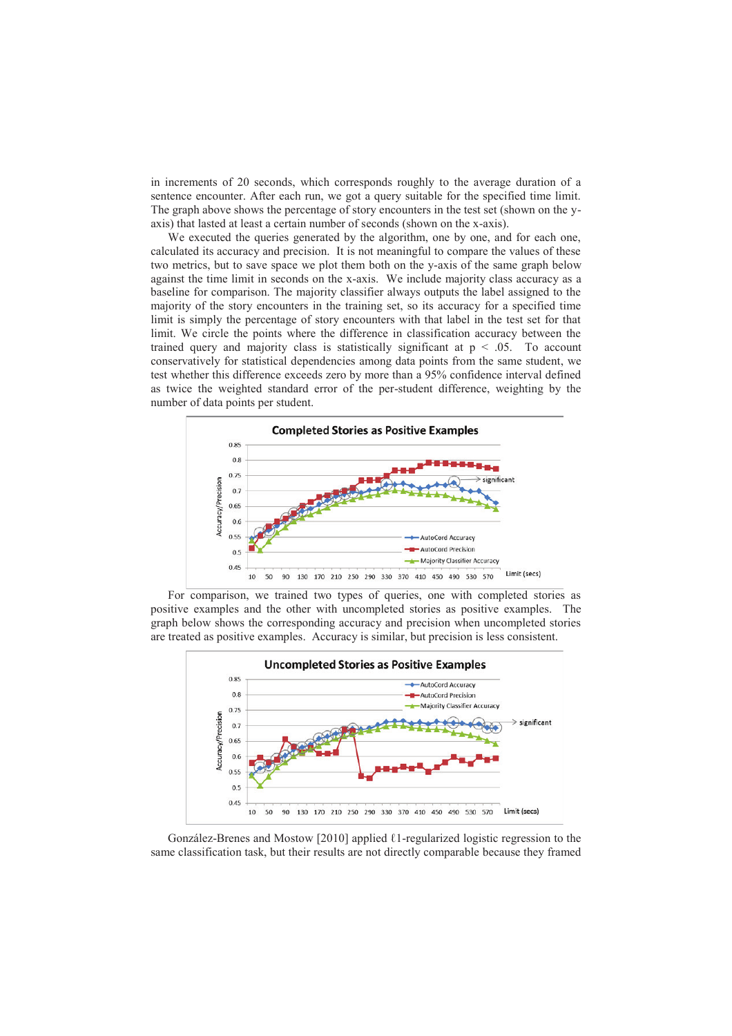in increments of 20 seconds, which corresponds roughly to the average duration of a sentence encounter. After each run, we got a query suitable for the specified time limit. The graph above shows the percentage of story encounters in the test set (shown on the yaxis) that lasted at least a certain number of seconds (shown on the x-axis).

We executed the queries generated by the algorithm, one by one, and for each one, calculated its accuracy and precision. It is not meaningful to compare the values of these two metrics, but to save space we plot them both on the y-axis of the same graph below against the time limit in seconds on the x-axis. We include majority class accuracy as a baseline for comparison. The majority classifier always outputs the label assigned to the majority of the story encounters in the training set, so its accuracy for a specified time limit is simply the percentage of story encounters with that label in the test set for that limit. We circle the points where the difference in classification accuracy between the trained query and majority class is statistically significant at  $p < .05$ . To account conservatively for statistical dependencies among data points from the same student, we test whether this difference exceeds zero by more than a 95% confidence interval defined as twice the weighted standard error of the per-student difference, weighting by the number of data points per student.



For comparison, we trained two types of queries, one with completed stories as positive examples and the other with uncompleted stories as positive examples. The graph below shows the corresponding accuracy and precision when uncompleted stories are treated as positive examples. Accuracy is similar, but precision is less consistent.



González-Brenes and Mostow [2010] applied  $\ell$ 1-regularized logistic regression to the same classification task, but their results are not directly comparable because they framed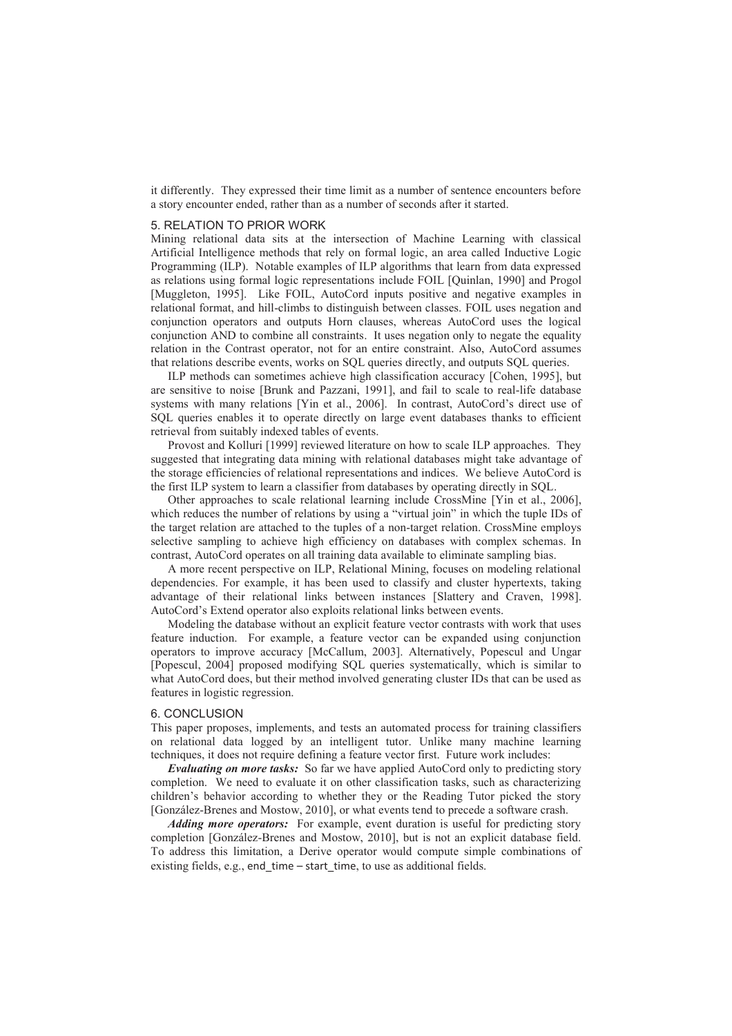it differently. They expressed their time limit as a number of sentence encounters before a story encounter ended, rather than as a number of seconds after it started.

### 5. RELATION TO PRIOR WORK

Mining relational data sits at the intersection of Machine Learning with classical Artificial Intelligence methods that rely on formal logic, an area called Inductive Logic Programming (ILP). Notable examples of ILP algorithms that learn from data expressed as relations using formal logic representations include FOIL [Quinlan, 1990] and Progol [Muggleton, 1995]. Like FOIL, AutoCord inputs positive and negative examples in relational format, and hill-climbs to distinguish between classes. FOIL uses negation and conjunction operators and outputs Horn clauses, whereas AutoCord uses the logical conjunction AND to combine all constraints. It uses negation only to negate the equality relation in the Contrast operator, not for an entire constraint. Also, AutoCord assumes that relations describe events, works on SQL queries directly, and outputs SQL queries.

ILP methods can sometimes achieve high classification accuracy [Cohen, 1995], but are sensitive to noise [Brunk and Pazzani, 1991], and fail to scale to real-life database systems with many relations [Yin et al., 2006]. In contrast, AutoCord's direct use of SQL queries enables it to operate directly on large event databases thanks to efficient retrieval from suitably indexed tables of events.

Provost and Kolluri [1999] reviewed literature on how to scale ILP approaches. They suggested that integrating data mining with relational databases might take advantage of the storage efficiencies of relational representations and indices. We believe AutoCord is the first ILP system to learn a classifier from databases by operating directly in SQL.

Other approaches to scale relational learning include CrossMine [Yin et al., 2006], which reduces the number of relations by using a "virtual join" in which the tuple IDs of the target relation are attached to the tuples of a non-target relation. CrossMine employs selective sampling to achieve high efficiency on databases with complex schemas. In contrast, AutoCord operates on all training data available to eliminate sampling bias.

A more recent perspective on ILP, Relational Mining, focuses on modeling relational dependencies. For example, it has been used to classify and cluster hypertexts, taking advantage of their relational links between instances [Slattery and Craven, 1998]. AutoCord's Extend operator also exploits relational links between events.

Modeling the database without an explicit feature vector contrasts with work that uses feature induction. For example, a feature vector can be expanded using conjunction operators to improve accuracy [McCallum, 2003]. Alternatively, Popescul and Ungar [Popescul, 2004] proposed modifying SQL queries systematically, which is similar to what AutoCord does, but their method involved generating cluster IDs that can be used as features in logistic regression.

#### 6. CONCLUSION

This paper proposes, implements, and tests an automated process for training classifiers on relational data logged by an intelligent tutor. Unlike many machine learning techniques, it does not require defining a feature vector first. Future work includes:

*Evaluating on more tasks:* So far we have applied AutoCord only to predicting story completion. We need to evaluate it on other classification tasks, such as characterizing children's behavior according to whether they or the Reading Tutor picked the story [González-Brenes and Mostow, 2010], or what events tend to precede a software crash.

*Adding more operators:* For example, event duration is useful for predicting story completion [González-Brenes and Mostow, 2010], but is not an explicit database field. To address this limitation, a Derive operator would compute simple combinations of existing fields, e.g., end\_time – start\_time, to use as additional fields.